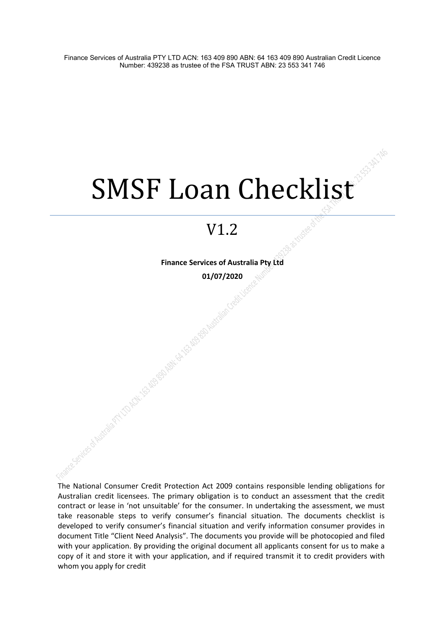# SMSF Loan Checklist

## V1.2

**Finance Services of Australia Pty Ltd 01/07/2020**

Antisco Materialism Antische Republikane Republikane Republikane Republikane Republikane Republikane Republikane

The National Consumer Credit Protection Act 2009 contains responsible lending obligations for Australian credit licensees. The primary obligation is to conduct an assessment that the credit contract or lease in 'not unsuitable' for the consumer. In undertaking the assessment, we must take reasonable steps to verify consumer's financial situation. The documents checklist is developed to verify consumer's financial situation and verify information consumer provides in document Title "Client Need Analysis". The documents you provide will be photocopied and filed with your application. By providing the original document all applicants consent for us to make a copy of it and store it with your application, and if required transmit it to credit providers with whom you apply for credit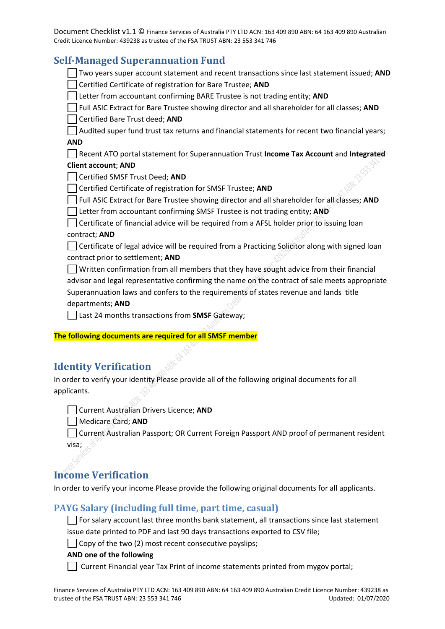## **Self-Managed Superannuation Fund**

| эсп-манаgей эйреганниацын гини                                                                  |
|-------------------------------------------------------------------------------------------------|
| Two years super account statement and recent transactions since last statement issued; AND      |
| Certified Certificate of registration for Bare Trustee; AND                                     |
| Letter from accountant confirming BARE Trustee is not trading entity; AND                       |
| Full ASIC Extract for Bare Trustee showing director and all shareholder for all classes; AND    |
| Certified Bare Trust deed; AND                                                                  |
| Audited super fund trust tax returns and financial statements for recent two financial years;   |
| <b>AND</b>                                                                                      |
| Recent ATO portal statement for Superannuation Trust Income Tax Account and Integrated          |
| <b>Client account; AND</b>                                                                      |
| Certified SMSF Trust Deed; AND                                                                  |
| Certified Certificate of registration for SMSF Trustee; AND                                     |
| Full ASIC Extract for Bare Trustee showing director and all shareholder for all classes; AND    |
| Letter from accountant confirming SMSF Trustee is not trading entity; AND                       |
| Certificate of financial advice will be required from a AFSL holder prior to issuing loan       |
| contract; AND                                                                                   |
| Certificate of legal advice will be required from a Practicing Solicitor along with signed loan |
| contract prior to settlement; AND                                                               |
| Written confirmation from all members that they have sought advice from their financial         |
| advisor and legal representative confirming the name on the contract of sale meets appropriate  |
| Superannuation laws and confers to the requirements of states revenue and lands title           |
| departments; AND                                                                                |
| Last 24 months transactions from SMSF Gateway;                                                  |
|                                                                                                 |
| The following documents are required for all SMSF member                                        |
|                                                                                                 |

## **Identity Verification**

In order to verify your identity Please provide all of the following original documents for all applicants.

Current Australian Drivers Licence; **AND**

Medicare Card; **AND**

Current Australian Passport; OR Current Foreign Passport AND proof of permanent resident visa;

## **Income Verification**

In order to verify your income Please provide the following original documents for all applicants.

## **PAYG Salary (including full time, part time, casual)**

 $\Box$  For salary account last three months bank statement, all transactions since last statement issue date printed to PDF and last 90 days transactions exported to CSV file;

 $\Box$  Copy of the two (2) most recent consecutive payslips;

#### **AND one of the following**

Current Financial year Tax Print of income statements printed from mygov portal;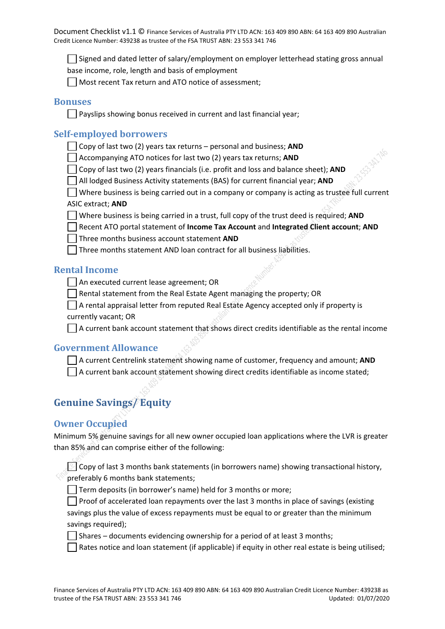$\vert \ \vert$  Signed and dated letter of salary/employment on employer letterhead stating gross annual

base income, role, length and basis of employment

Most recent Tax return and ATO notice of assessment;

## **Bonuses**

 $\Box$  Payslips showing bonus received in current and last financial year;

## **Self-employed borrowers**

Copy of last two (2) years tax returns – personal and business; **AND**

Accompanying ATO notices for last two (2) years tax returns; **AND**

Copy of last two (2) years financials (i.e. profit and loss and balance sheet); **AND**

All lodged Business Activity statements (BAS) for current financial year; **AND**

 $\Box$  Where business is being carried out in a company or company is acting as trustee full current ASIC extract; **AND**

Where business is being carried in a trust, full copy of the trust deed is required; **AND**

Recent ATO portal statement of **Income Tax Account** and **Integrated Client account**; **AND**

Three months business account statement **AND**

 $\Box$  Three months statement AND loan contract for all business liabilities.

## **Rental Income**

An executed current lease agreement; OR

 $\Box$  Rental statement from the Real Estate Agent managing the property; OR

 $\Box$  A rental appraisal letter from reputed Real Estate Agency accepted only if property is currently vacant; OR

 $\Box$  A current bank account statement that shows direct credits identifiable as the rental income

## **Government Allowance**

A current Centrelink statement showing name of customer, frequency and amount; **AND**  $\Box$  A current bank account statement showing direct credits identifiable as income stated;

## **Genuine Savings/ Equity**

## **Owner Occupied**

Minimum 5% genuine savings for all new owner occupied loan applications where the LVR is greater than 85% and can comprise either of the following:

 $\lesssim$  Copy of last 3 months bank statements (in borrowers name) showing transactional history, preferably 6 months bank statements;

 $\Box$  Term deposits (in borrower's name) held for 3 months or more;

**Proof of accelerated loan repayments over the last 3 months in place of savings (existing** savings plus the value of excess repayments must be equal to or greater than the minimum savings required);

 $\Box$  Shares – documents evidencing ownership for a period of at least 3 months;

Rates notice and loan statement (if applicable) if equity in other real estate is being utilised;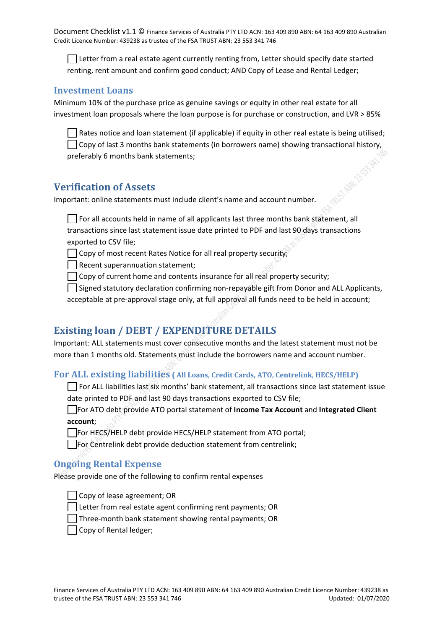Letter from a real estate agent currently renting from, Letter should specify date started renting, rent amount and confirm good conduct; AND Copy of Lease and Rental Ledger;

#### **Investment Loans**

Minimum 10% of the purchase price as genuine savings or equity in other real estate for all investment loan proposals where the loan purpose is for purchase or construction, and LVR > 85%

 $\Box$  Rates notice and loan statement (if applicable) if equity in other real estate is being utilised;  $\Box$  Copy of last 3 months bank statements (in borrowers name) showing transactional history, preferably 6 months bank statements;

## **Verification of Assets**

Important: online statements must include client's name and account number.

 $\Box$  For all accounts held in name of all applicants last three months bank statement, all transactions since last statement issue date printed to PDF and last 90 days transactions exported to CSV file;

 $\Box$  Copy of most recent Rates Notice for all real property security;

 $\Box$  Recent superannuation statement;

 $\Box$  Copy of current home and contents insurance for all real property security;

 $\Box$  Signed statutory declaration confirming non-repayable gift from Donor and ALL Applicants, acceptable at pre-approval stage only, at full approval all funds need to be held in account;

## **Existing loan / DEBT / EXPENDITURE DETAILS**

Important: ALL statements must cover consecutive months and the latest statement must not be more than 1 months old. Statements must include the borrowers name and account number.

#### **For ALL existing liabilities ( All Loans, Credit Cards, ATO, Centrelink, HECS/HELP)**

 $\Box$  For ALL liabilities last six months' bank statement, all transactions since last statement issue date printed to PDF and last 90 days transactions exported to CSV file;

For ATO debt provide ATO portal statement of **Income Tax Account** and **Integrated Client account**;

For HECS/HELP debt provide HECS/HELP statement from ATO portal;

For Centrelink debt provide deduction statement from centrelink;

#### **Ongoing Rental Expense**

Please provide one of the following to confirm rental expenses

Copy of lease agreement; OR

 $\Box$  Letter from real estate agent confirming rent payments; OR

 $\Box$  Three-month bank statement showing rental payments; OR

□ Copy of Rental ledger;